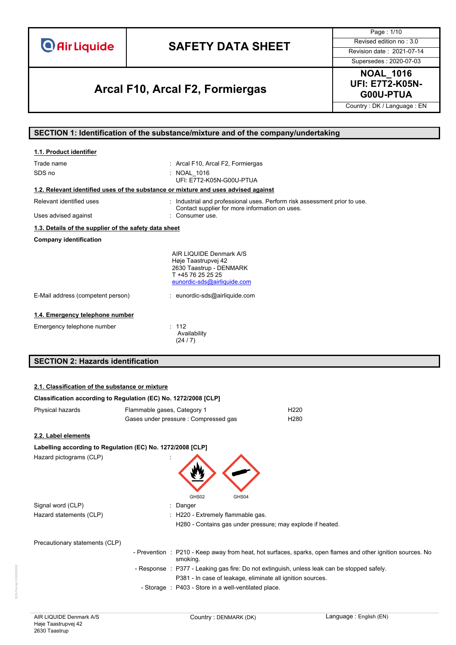# **SAFETY DATA SHEET** Revised edition no : 3.0

**G00U-PTUA Arcal F10, Arcal F2, Formiergas**

Page : 1/10 Supersedes : 2020-07-03

**NOAL\_1016 UFI: E7T2-K05N-**

Country : DK / Language : EN

### **SECTION 1: Identification of the substance/mixture and of the company/undertaking**

| 1.1. Product identifier                                                            |                                                                                                                               |
|------------------------------------------------------------------------------------|-------------------------------------------------------------------------------------------------------------------------------|
| Trade name<br>SDS no                                                               | : Arcal F10, Arcal F2, Formiergas<br>: NOAL 1016<br>UFI: E7T2-K05N-G00U-PTUA                                                  |
| 1.2. Relevant identified uses of the substance or mixture and uses advised against |                                                                                                                               |
| Relevant identified uses                                                           | : Industrial and professional uses. Perform risk assessment prior to use.<br>Contact supplier for more information on uses.   |
| Uses advised against                                                               | : Consumer use.                                                                                                               |
| 1.3. Details of the supplier of the safety data sheet                              |                                                                                                                               |
| <b>Company identification</b>                                                      |                                                                                                                               |
|                                                                                    | AIR LIQUIDE Denmark A/S<br>Høje Taastrupvej 42<br>2630 Taastrup - DENMARK<br>T +45 76 25 25 25<br>eunordic-sds@airliquide.com |
| E-Mail address (competent person)                                                  | : eunordic-sds@airliquide.com                                                                                                 |
| 1.4. Emergency telephone number                                                    |                                                                                                                               |
| Emergency telephone number                                                         | : 112<br>Availability<br>(24/7)                                                                                               |

### **SECTION 2: Hazards identification**

### **2.1. Classification of the substance or mixture**

| Classification according to Regulation (EC) No. 1272/2008 [CLP] |                             |                                                      |                                                                                             |                                                                                                             |
|-----------------------------------------------------------------|-----------------------------|------------------------------------------------------|---------------------------------------------------------------------------------------------|-------------------------------------------------------------------------------------------------------------|
| Physical hazards                                                | Flammable gases, Category 1 |                                                      | H <sub>220</sub>                                                                            |                                                                                                             |
|                                                                 |                             | Gases under pressure : Compressed gas                | H <sub>280</sub>                                                                            |                                                                                                             |
| 2.2. Label elements                                             |                             |                                                      |                                                                                             |                                                                                                             |
| Labelling according to Regulation (EC) No. 1272/2008 [CLP]      |                             |                                                      |                                                                                             |                                                                                                             |
| Hazard pictograms (CLP)                                         |                             | GHS02<br>GHS04                                       |                                                                                             |                                                                                                             |
| Signal word (CLP)                                               |                             | Danger                                               |                                                                                             |                                                                                                             |
| Hazard statements (CLP)                                         |                             | : H220 - Extremely flammable gas.                    |                                                                                             |                                                                                                             |
|                                                                 |                             |                                                      | H280 - Contains gas under pressure; may explode if heated.                                  |                                                                                                             |
| Precautionary statements (CLP)                                  |                             |                                                      |                                                                                             |                                                                                                             |
|                                                                 |                             | smoking.                                             |                                                                                             | - Prevention : P210 - Keep away from heat, hot surfaces, sparks, open flames and other ignition sources. No |
|                                                                 |                             |                                                      | - Response : P377 - Leaking gas fire: Do not extinguish, unless leak can be stopped safely. |                                                                                                             |
|                                                                 |                             |                                                      | P381 - In case of leakage, eliminate all ignition sources.                                  |                                                                                                             |
|                                                                 |                             | - Storage : P403 - Store in a well-ventilated place. |                                                                                             |                                                                                                             |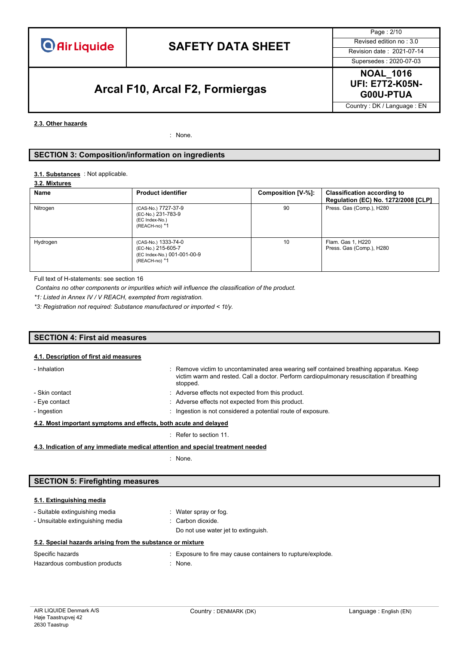# **SAFETY DATA SHEET** Revised edition no : 3.0

# **G00U-PTUA Arcal F10, Arcal F2, Formiergas**

Page : 2/10 Supersedes : 2020-07-03

**NOAL\_1016 UFI: E7T2-K05N-**

Country : DK / Language : EN

#### **2.3. Other hazards**

: None.

### **SECTION 3: Composition/information on ingredients**

#### : Not applicable. **3.1. Substances**

#### **3.2. Mixtures**

| Name                                                                                                  | <b>Product identifier</b>                                                    | Composition [V-%]:             | <b>Classification according to</b><br>Regulation (EC) No. 1272/2008 [CLP] |
|-------------------------------------------------------------------------------------------------------|------------------------------------------------------------------------------|--------------------------------|---------------------------------------------------------------------------|
| Nitrogen                                                                                              | (CAS-No.) 7727-37-9<br>(EC-No.) 231-783-9<br>(EC Index-No.)<br>(REACH-no) *1 | Press. Gas (Comp.), H280<br>90 |                                                                           |
| Hydrogen<br>(CAS-No.) 1333-74-0<br>(EC-No.) 215-605-7<br>(EC Index-No.) 001-001-00-9<br>(REACH-no) *1 |                                                                              | 10                             | Flam. Gas 1, H220<br>Press. Gas (Comp.), H280                             |

Full text of H-statements: see section 16

*Contains no other components or impurities which will influence the classification of the product.*

*\*1: Listed in Annex IV / V REACH, exempted from registration.*

*\*3: Registration not required: Substance manufactured or imported < 1t/y.*

### **SECTION 4: First aid measures**

#### **4.1. Description of first aid measures**

| - Inhalation                                                     | : Remove victim to uncontaminated area wearing self contained breathing apparatus. Keep<br>victim warm and rested. Call a doctor. Perform cardiopulmonary resuscitation if breathing<br>stopped. |  |  |
|------------------------------------------------------------------|--------------------------------------------------------------------------------------------------------------------------------------------------------------------------------------------------|--|--|
| - Skin contact                                                   | : Adverse effects not expected from this product.                                                                                                                                                |  |  |
| - Eye contact                                                    | : Adverse effects not expected from this product.                                                                                                                                                |  |  |
| - Ingestion                                                      | : Ingestion is not considered a potential route of exposure.                                                                                                                                     |  |  |
| 4.2. Most important symptoms and effects, both acute and delayed |                                                                                                                                                                                                  |  |  |

: Refer to section 11.

**4.3. Indication of any immediate medical attention and special treatment needed**

: None.

### **SECTION 5: Firefighting measures**

### **5.1. Extinguishing media**

| <b>U.I. EXUILGUISHING INCURA</b> |                       |
|----------------------------------|-----------------------|
| - Suitable extinguishing media   | : Water spray or fog. |

- Unsuitable extinguishing media : Carbon dioxide. Do not use water jet to extinguish.

| 5.2. Special hazards arising from the substance or mixture |  |  |  |  |  |  |  |  |  |
|------------------------------------------------------------|--|--|--|--|--|--|--|--|--|
|------------------------------------------------------------|--|--|--|--|--|--|--|--|--|

| Specific hazards              | : Exposure to fire may cause containers to rupture/explode. |
|-------------------------------|-------------------------------------------------------------|
| Hazardous combustion products | : None.                                                     |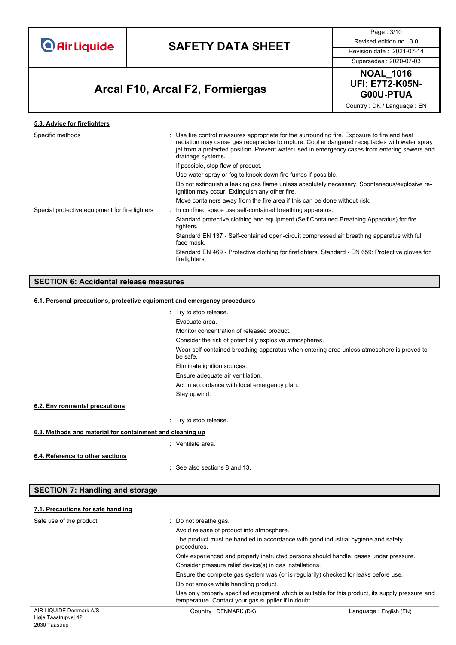# **SAFETY DATA SHEET** Revised edition no : 3.0

Page : 3/10

Supersedes : 2020-07-03

# **G00U-PTUA Arcal F10, Arcal F2, Formiergas**

**NOAL\_1016 UFI: E7T2-K05N-**

Country : DK / Language : EN

| 5.3. Advice for firefighters                   |                                                                                                                                                                                                                                                                                                                   |
|------------------------------------------------|-------------------------------------------------------------------------------------------------------------------------------------------------------------------------------------------------------------------------------------------------------------------------------------------------------------------|
| Specific methods                               | : Use fire control measures appropriate for the surrounding fire. Exposure to fire and heat<br>radiation may cause gas receptacles to rupture. Cool endangered receptacles with water spray<br>jet from a protected position. Prevent water used in emergency cases from entering sewers and<br>drainage systems. |
|                                                | If possible, stop flow of product.                                                                                                                                                                                                                                                                                |
|                                                | Use water spray or fog to knock down fire fumes if possible.                                                                                                                                                                                                                                                      |
|                                                | Do not extinguish a leaking gas flame unless absolutely necessary. Spontaneous/explosive re-<br>ignition may occur. Extinguish any other fire.                                                                                                                                                                    |
|                                                | Move containers away from the fire area if this can be done without risk.                                                                                                                                                                                                                                         |
| Special protective equipment for fire fighters | : In confined space use self-contained breathing apparatus.                                                                                                                                                                                                                                                       |
|                                                | Standard protective clothing and equipment (Self Contained Breathing Apparatus) for fire<br>fighters.                                                                                                                                                                                                             |
|                                                | Standard EN 137 - Self-contained open-circuit compressed air breathing apparatus with full<br>face mask.                                                                                                                                                                                                          |
|                                                | Standard EN 469 - Protective clothing for firefighters. Standard - EN 659: Protective gloves for<br>firefighters.                                                                                                                                                                                                 |
|                                                |                                                                                                                                                                                                                                                                                                                   |

### **SECTION 6: Accidental release measures**

#### **6.1. Personal precautions, protective equipment and emergency procedures**

|                                                           | : Try to stop release.                                                                                |
|-----------------------------------------------------------|-------------------------------------------------------------------------------------------------------|
|                                                           | Evacuate area.                                                                                        |
|                                                           | Monitor concentration of released product.                                                            |
|                                                           | Consider the risk of potentially explosive atmospheres.                                               |
|                                                           | Wear self-contained breathing apparatus when entering area unless atmosphere is proved to<br>be safe. |
|                                                           | Eliminate ignition sources.                                                                           |
|                                                           | Ensure adequate air ventilation.                                                                      |
|                                                           | Act in accordance with local emergency plan.                                                          |
|                                                           | Stay upwind.                                                                                          |
| 6.2. Environmental precautions                            |                                                                                                       |
|                                                           | : Try to stop release.                                                                                |
| 6.3. Methods and material for containment and cleaning up |                                                                                                       |
|                                                           | : Ventilate area.                                                                                     |
| 6.4. Reference to other sections                          | : See also sections 8 and 13.                                                                         |
|                                                           |                                                                                                       |

### **SECTION 7: Handling and storage**

### AIR LIQUIDE Denmark A/S Høje Taastrupvej 42 2630 Taastrup Country : DENMARK (DK)  $\qquad \qquad$  Language : English (EN) **7.1. Precautions for safe handling** Safe use of the product  $\qquad \qquad :$  Do not breathe gas. Avoid release of product into atmosphere. The product must be handled in accordance with good industrial hygiene and safety procedures. Only experienced and properly instructed persons should handle gases under pressure. Consider pressure relief device(s) in gas installations. Ensure the complete gas system was (or is regularily) checked for leaks before use. Do not smoke while handling product. Use only properly specified equipment which is suitable for this product, its supply pressure and temperature. Contact your gas supplier if in doubt.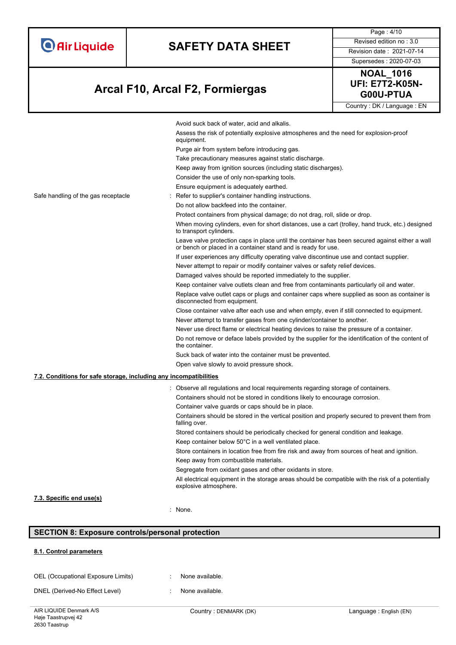# **SAFETY DATA SHEET** Revised edition no : 3.0

Supersedes : 2020-07-03

Page : 4/10

# **G00U-PTUA Arcal F10, Arcal F2, Formiergas**



Avoid suck back of water, acid and alkalis. Assess the risk of potentially explosive atmospheres and the need for explosion-proof equipment. Purge air from system before introducing gas. Take precautionary measures against static discharge. Keep away from ignition sources (including static discharges). Consider the use of only non-sparking tools. Ensure equipment is adequately earthed. Safe handling of the gas receptacle : Refer to supplier's container handling instructions. Do not allow backfeed into the container. Protect containers from physical damage; do not drag, roll, slide or drop. When moving cylinders, even for short distances, use a cart (trolley, hand truck, etc.) designed to transport cylinders. Leave valve protection caps in place until the container has been secured against either a wall or bench or placed in a container stand and is ready for use. If user experiences any difficulty operating valve discontinue use and contact supplier. Never attempt to repair or modify container valves or safety relief devices. Damaged valves should be reported immediately to the supplier. Keep container valve outlets clean and free from contaminants particularly oil and water. Replace valve outlet caps or plugs and container caps where supplied as soon as container is disconnected from equipment. Close container valve after each use and when empty, even if still connected to equipment. Never attempt to transfer gases from one cylinder/container to another. Never use direct flame or electrical heating devices to raise the pressure of a container. Do not remove or deface labels provided by the supplier for the identification of the content of the container. Suck back of water into the container must be prevented. Open valve slowly to avoid pressure shock. **7.2. Conditions for safe storage, including any incompatibilities** : Observe all regulations and local requirements regarding storage of containers. Containers should not be stored in conditions likely to encourage corrosion. Container valve guards or caps should be in place. Containers should be stored in the vertical position and properly secured to prevent them from falling over. Stored containers should be periodically checked for general condition and leakage. Keep container below 50°C in a well ventilated place. Store containers in location free from fire risk and away from sources of heat and ignition. Keep away from combustible materials. Segregate from oxidant gases and other oxidants in store. All electrical equipment in the storage areas should be compatible with the risk of a potentially explosive atmosphere. **7.3. Specific end use(s)**

#### **SECTION 8: Exposure controls/personal protection**

#### **8.1. Control parameters**

| OEL (Occupational Exposure Limits) | None available. |
|------------------------------------|-----------------|
|                                    |                 |

DNEL (Derived-No Effect Level) : None available.

: None.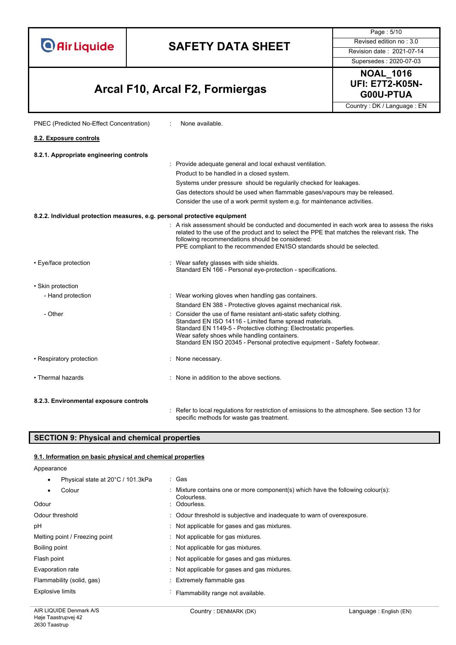# **SAFETY DATA SHEET** Revised edition no : 3.0

Supersedes : 2020-07-03

Page : 5/10

# **G00U-PTUA Arcal F10, Arcal F2, Formiergas**

PNEC (Predicted No-Effect Concentration) : None available.

**NOAL\_1016 UFI: E7T2-K05N-**

Country : DK / Language : EN

| 8.2. Exposure controls                                                    |                                                                                                                                                                                                                                                                                                                                  |
|---------------------------------------------------------------------------|----------------------------------------------------------------------------------------------------------------------------------------------------------------------------------------------------------------------------------------------------------------------------------------------------------------------------------|
| 8.2.1. Appropriate engineering controls                                   |                                                                                                                                                                                                                                                                                                                                  |
|                                                                           | : Provide adequate general and local exhaust ventilation.                                                                                                                                                                                                                                                                        |
|                                                                           | Product to be handled in a closed system.                                                                                                                                                                                                                                                                                        |
|                                                                           | Systems under pressure should be regularily checked for leakages.                                                                                                                                                                                                                                                                |
|                                                                           | Gas detectors should be used when flammable gases/vapours may be released.                                                                                                                                                                                                                                                       |
|                                                                           | Consider the use of a work permit system e.g. for maintenance activities.                                                                                                                                                                                                                                                        |
| 8.2.2. Individual protection measures, e.g. personal protective equipment |                                                                                                                                                                                                                                                                                                                                  |
|                                                                           | : A risk assessment should be conducted and documented in each work area to assess the risks<br>related to the use of the product and to select the PPE that matches the relevant risk. The<br>following recommendations should be considered:<br>PPE compliant to the recommended EN/ISO standards should be selected.          |
| • Eye/face protection                                                     | : Wear safety glasses with side shields.<br>Standard EN 166 - Personal eye-protection - specifications.                                                                                                                                                                                                                          |
| • Skin protection                                                         |                                                                                                                                                                                                                                                                                                                                  |
| - Hand protection                                                         | : Wear working gloves when handling gas containers.                                                                                                                                                                                                                                                                              |
|                                                                           | Standard EN 388 - Protective gloves against mechanical risk.                                                                                                                                                                                                                                                                     |
| - Other                                                                   | : Consider the use of flame resistant anti-static safety clothing.<br>Standard EN ISO 14116 - Limited flame spread materials.<br>Standard EN 1149-5 - Protective clothing: Electrostatic properties.<br>Wear safety shoes while handling containers.<br>Standard EN ISO 20345 - Personal protective equipment - Safety footwear. |
| • Respiratory protection                                                  | : None necessary.                                                                                                                                                                                                                                                                                                                |
| • Thermal hazards                                                         | : None in addition to the above sections.                                                                                                                                                                                                                                                                                        |
| 8.2.3. Environmental exposure controls                                    |                                                                                                                                                                                                                                                                                                                                  |

: Refer to local regulations for restriction of emissions to the atmosphere. See section 13 for specific methods for waste gas treatment.

### **SECTION 9: Physical and chemical properties**

#### **9.1. Information on basic physical and chemical properties**

Appearance

• Physical state at 20°C / 101.3kPa : Gas

| Colour<br>Odour                | : Mixture contains one or more component(s) which have the following colour(s):<br>Colourless.<br>: Odourless. |
|--------------------------------|----------------------------------------------------------------------------------------------------------------|
| Odour threshold                | : Odour threshold is subjective and inadequate to warn of overexposure.                                        |
| рH                             | : Not applicable for gases and gas mixtures.                                                                   |
| Melting point / Freezing point | Not applicable for gas mixtures.                                                                               |
| Boiling point                  | Not applicable for gas mixtures.                                                                               |
| Flash point                    | Not applicable for gases and gas mixtures.                                                                     |
| Evaporation rate               | : Not applicable for gases and gas mixtures.                                                                   |
| Flammability (solid, gas)      | : Extremely flammable gas                                                                                      |
| <b>Explosive limits</b>        | Flammability range not available.                                                                              |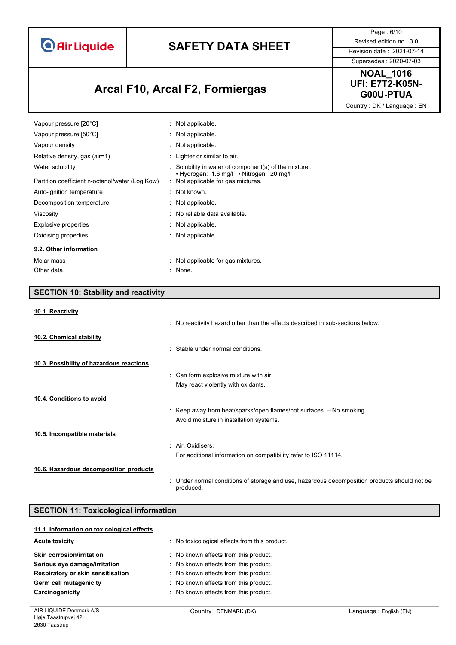# **SAFETY DATA SHEET** Revised edition no : 3.0

Supersedes : 2020-07-03

Page : 6/10

# **G00U-PTUA Arcal F10, Arcal F2, Formiergas**

**NOAL\_1016 UFI: E7T2-K05N-**

Country : DK / Language : EN

| Vapour pressure [20°C]                          | : Not applicable.                                                                                                        |
|-------------------------------------------------|--------------------------------------------------------------------------------------------------------------------------|
| Vapour pressure [50°C]                          | : Not applicable.                                                                                                        |
| Vapour density                                  | : Not applicable.                                                                                                        |
| Relative density, gas (air=1)                   | : Lighter or similar to air.                                                                                             |
| Water solubility                                | $\therefore$ Solubility in water of component(s) of the mixture $\therefore$<br>• Hydrogen: 1.6 mg/l • Nitrogen: 20 mg/l |
| Partition coefficient n-octanol/water (Log Kow) | : Not applicable for gas mixtures.                                                                                       |
| Auto-ignition temperature                       | $\therefore$ Not known.                                                                                                  |
| Decomposition temperature                       | : Not applicable.                                                                                                        |
| Viscosity                                       | : No reliable data available.                                                                                            |
| Explosive properties                            | : Not applicable.                                                                                                        |
| Oxidising properties                            | : Not applicable.                                                                                                        |
| 9.2. Other information                          |                                                                                                                          |
| Molar mass                                      | : Not applicable for gas mixtures.                                                                                       |
| Other data                                      | : None.                                                                                                                  |

### **SECTION 10: Stability and reactivity**

#### **10.1. Reactivity**

|                                          | . No reactivity hazard other than the effects described in sub-sections below.                            |
|------------------------------------------|-----------------------------------------------------------------------------------------------------------|
| 10.2. Chemical stability                 |                                                                                                           |
|                                          | : Stable under normal conditions.                                                                         |
| 10.3. Possibility of hazardous reactions |                                                                                                           |
|                                          | : Can form explosive mixture with air.                                                                    |
|                                          | May react violently with oxidants.                                                                        |
| 10.4. Conditions to avoid                |                                                                                                           |
|                                          | : Keep away from heat/sparks/open flames/hot surfaces. $-$ No smoking.                                    |
|                                          | Avoid moisture in installation systems.                                                                   |
| 10.5. Incompatible materials             |                                                                                                           |
|                                          | : Air, Oxidisers.                                                                                         |
|                                          | For additional information on compatibility refer to ISO 11114.                                           |
| 10.6. Hazardous decomposition products   |                                                                                                           |
|                                          | : Under normal conditions of storage and use, hazardous decomposition products should not be<br>produced. |

### **SECTION 11: Toxicological information**

| 11.1. Information on toxicological effects |                                             |
|--------------------------------------------|---------------------------------------------|
| <b>Acute toxicity</b>                      | No toxicological effects from this product. |
| <b>Skin corrosion/irritation</b>           | No known effects from this product.         |
| Serious eye damage/irritation              | : No known effects from this product.       |
| Respiratory or skin sensitisation          | : No known effects from this product.       |
| Germ cell mutagenicity                     | : No known effects from this product.       |
| Carcinogenicity                            | : No known effects from this product.       |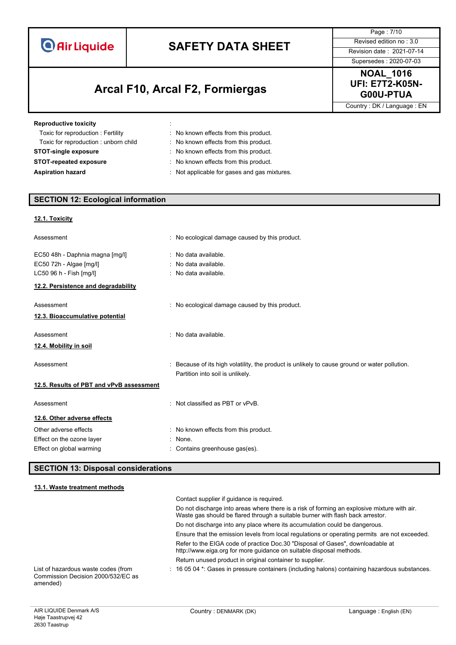# **SAFETY DATA SHEET** Revised edition no : 3.0

# **G00U-PTUA Arcal F10, Arcal F2, Formiergas**

Page : 7/10 Supersedes : 2020-07-03

**NOAL\_1016 UFI: E7T2-K05N-**

Country : DK / Language : EN

| <b>Reproductive toxicity</b>         | ٠<br>٠                                       |
|--------------------------------------|----------------------------------------------|
| Toxic for reproduction: Fertility    | : No known effects from this product.        |
| Toxic for reproduction: unborn child | : No known effects from this product.        |
| <b>STOT-single exposure</b>          | : No known effects from this product.        |
| <b>STOT-repeated exposure</b>        | : No known effects from this product.        |
| <b>Aspiration hazard</b>             | : Not applicable for gases and gas mixtures. |

### **SECTION 12: Ecological information**

### **12.1. Toxicity**

| Assessment                                                                                                                   | No ecological damage caused by this product.                                                                                    |
|------------------------------------------------------------------------------------------------------------------------------|---------------------------------------------------------------------------------------------------------------------------------|
| EC50 48h - Daphnia magna [mg/l]<br>EC50 72h - Algae [mg/l]<br>LC50 96 h - Fish [mg/l]<br>12.2. Persistence and degradability | : No data available.<br>: No data available.<br>: No data available.                                                            |
| Assessment<br>12.3. Bioaccumulative potential                                                                                | : No ecological damage caused by this product.                                                                                  |
| Assessment<br>12.4. Mobility in soil                                                                                         | : No data available.                                                                                                            |
| Assessment                                                                                                                   | Because of its high volatility, the product is unlikely to cause ground or water pollution.<br>Partition into soil is unlikely. |
| 12.5. Results of PBT and vPvB assessment                                                                                     |                                                                                                                                 |
| Assessment                                                                                                                   | Not classified as PBT or vPvB.                                                                                                  |
| 12.6. Other adverse effects                                                                                                  |                                                                                                                                 |
| Other adverse effects                                                                                                        | : No known effects from this product.                                                                                           |
| Effect on the ozone layer<br>Effect on global warming                                                                        | : None.<br>Contains greenhouse gas(es).                                                                                         |

### **SECTION 13: Disposal considerations**

#### **13.1. Waste treatment methods**

|                                                                                       | Contact supplier if quidance is required.                                                                                                                                     |
|---------------------------------------------------------------------------------------|-------------------------------------------------------------------------------------------------------------------------------------------------------------------------------|
|                                                                                       | Do not discharge into areas where there is a risk of forming an explosive mixture with air.<br>Waste gas should be flared through a suitable burner with flash back arrestor. |
|                                                                                       | Do not discharge into any place where its accumulation could be dangerous.                                                                                                    |
|                                                                                       | Ensure that the emission levels from local regulations or operating permits are not exceeded.                                                                                 |
|                                                                                       | Refer to the EIGA code of practice Doc.30 "Disposal of Gases", downloadable at<br>http://www.eiga.org for more guidance on suitable disposal methods.                         |
|                                                                                       | Return unused product in original container to supplier.                                                                                                                      |
| List of hazardous waste codes (from<br>Commission Decision 2000/532/EC as<br>amended) | $\pm$ 16 05 04 $^*$ . Gases in pressure containers (including halons) containing hazardous substances.                                                                        |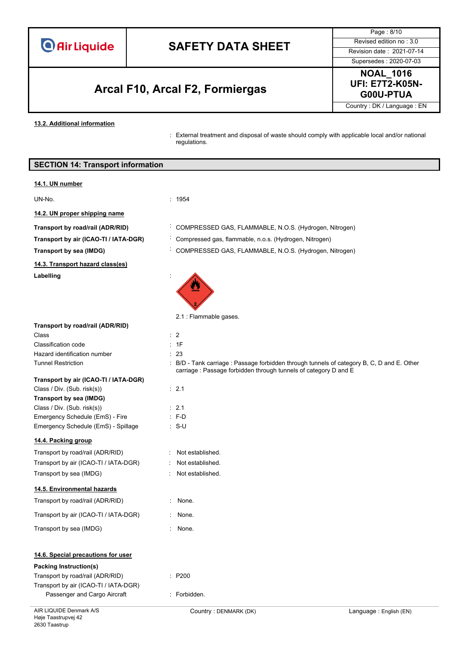# **SAFETY DATA SHEET** Revised edition no : 3.0

# **G00U-PTUA Arcal F10, Arcal F2, Formiergas**

Page : 8/10 Supersedes : 2020-07-03

**NOAL\_1016 UFI: E7T2-K05N-**

Country : DK / Language : EN

**13.2. Additional information**

: External treatment and disposal of waste should comply with applicable local and/or national regulations.

|                                                                 | External treatment and disposal of waste should comply with applicable local and/or hation<br>regulations. |                        |
|-----------------------------------------------------------------|------------------------------------------------------------------------------------------------------------|------------------------|
| <b>SECTION 14: Transport information</b>                        |                                                                                                            |                        |
| 14.1. UN number                                                 |                                                                                                            |                        |
| UN-No.                                                          | : 1954                                                                                                     |                        |
| 14.2. UN proper shipping name                                   |                                                                                                            |                        |
| Transport by road/rail (ADR/RID)                                | COMPRESSED GAS, FLAMMABLE, N.O.S. (Hydrogen, Nitrogen)                                                     |                        |
| Transport by air (ICAO-TI / IATA-DGR)                           | Compressed gas, flammable, n.o.s. (Hydrogen, Nitrogen)                                                     |                        |
| <b>Transport by sea (IMDG)</b>                                  | COMPRESSED GAS, FLAMMABLE, N.O.S. (Hydrogen, Nitrogen)                                                     |                        |
| 14.3. Transport hazard class(es)                                |                                                                                                            |                        |
| Labelling                                                       |                                                                                                            |                        |
|                                                                 |                                                                                                            |                        |
|                                                                 | 2.1 : Flammable gases.                                                                                     |                        |
| Transport by road/rail (ADR/RID)                                |                                                                                                            |                        |
| Class                                                           | $\therefore$ 2                                                                                             |                        |
| <b>Classification code</b><br>Hazard identification number      | : 1F<br>: 23                                                                                               |                        |
| <b>Tunnel Restriction</b>                                       | : B/D - Tank carriage : Passage forbidden through tunnels of category B, C, D and E. Other                 |                        |
|                                                                 | carriage : Passage forbidden through tunnels of category D and E                                           |                        |
| Transport by air (ICAO-TI / IATA-DGR)                           |                                                                                                            |                        |
| Class / Div. (Sub. risk(s))<br><b>Transport by sea (IMDG)</b>   | $\therefore$ 2.1                                                                                           |                        |
| Class / Div. (Sub. risk(s))                                     | : 2.1                                                                                                      |                        |
| Emergency Schedule (EmS) - Fire                                 | $: F-D$                                                                                                    |                        |
| Emergency Schedule (EmS) - Spillage                             | ∶ S-U                                                                                                      |                        |
| 14.4. Packing group                                             |                                                                                                            |                        |
| Transport by road/rail (ADR/RID)                                | Not established.                                                                                           |                        |
| Transport by air (ICAO-TI / IATA-DGR)                           | Not established.                                                                                           |                        |
| Transport by sea (IMDG)                                         | Not established.                                                                                           |                        |
| 14.5. Environmental hazards                                     |                                                                                                            |                        |
| Transport by road/rail (ADR/RID)                                | : None.                                                                                                    |                        |
| Transport by air (ICAO-TI / IATA-DGR)                           | None.                                                                                                      |                        |
| Transport by sea (IMDG)                                         | : None.                                                                                                    |                        |
| 14.6. Special precautions for user                              |                                                                                                            |                        |
| <b>Packing Instruction(s)</b>                                   |                                                                                                            |                        |
| Transport by road/rail (ADR/RID)                                | : P200                                                                                                     |                        |
| Transport by air (ICAO-TI / IATA-DGR)                           |                                                                                                            |                        |
| Passenger and Cargo Aircraft                                    | : Forbidden.                                                                                               |                        |
| AIR LIQUIDE Denmark A/S<br>Høje Taastrupvej 42<br>2630 Taastrup | Country: DENMARK (DK)                                                                                      | Language: English (EN) |
|                                                                 |                                                                                                            |                        |

### Labelli

#### $Transp$ Class /

### **14.4. Pa**

| Transport by road/rail (ADR/RID)      |
|---------------------------------------|
| Transport by air (ICAO-TI / IATA-DGR) |
| Transport by sea (IMDG)               |

### **14.5. Environmental hazards**

| Transport by road/rail (ADR/RID)      |  |
|---------------------------------------|--|
| Transport by air (ICAO-TI / IATA-DGR) |  |

### Transp

### **14.6. S**

### **Packing**

| Transport by road/rail (ADR/RID)      |  |
|---------------------------------------|--|
| Transport by air (ICAO-TI / IATA-DGR) |  |
| Passenger and Cargo Aircraft          |  |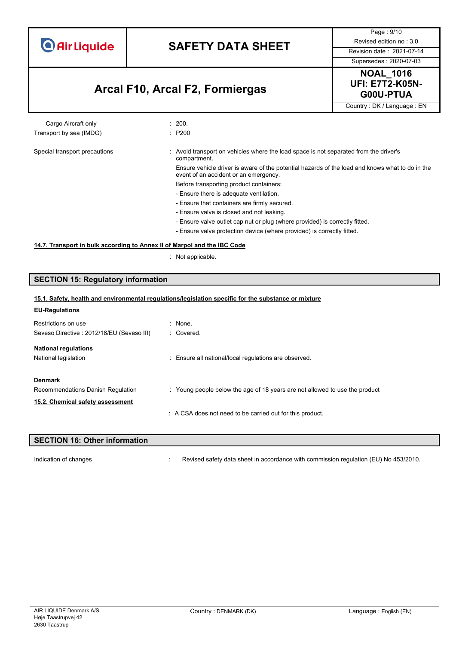# **SAFETY DATA SHEET** Revised edition no : 3.0

Supersedes : 2020-07-03

Page : 9/10

# **G00U-PTUA Arcal F10, Arcal F2, Formiergas**



Country : DK / Language : EN

#### Cargo Aircraft only **Example 200.** 200. Transport by sea (IMDG)  $\qquad \qquad$ : P200

#### Special transport precautions : Avoid transport on vehicles where the load space is not separated from the driver's compartment. Ensure vehicle driver is aware of the potential hazards of the load and knows what to do in the event of an accident or an emergency.

Before transporting product containers:

- Ensure there is adequate ventilation.
- Ensure that containers are firmly secured.
- Ensure valve is closed and not leaking.
- Ensure valve outlet cap nut or plug (where provided) is correctly fitted.
- Ensure valve protection device (where provided) is correctly fitted.

#### **14.7. Transport in bulk according to Annex II of Marpol and the IBC Code**

: Not applicable.

### **SECTION 15: Regulatory information**

| 15.1. Safety, health and environmental regulations/legislation specific for the substance or mixture |                                                                             |  |
|------------------------------------------------------------------------------------------------------|-----------------------------------------------------------------------------|--|
| <b>EU-Regulations</b>                                                                                |                                                                             |  |
| Restrictions on use                                                                                  | $:$ None.                                                                   |  |
| Seveso Directive: 2012/18/EU (Seveso III)                                                            | : Covered.                                                                  |  |
| <b>National regulations</b>                                                                          |                                                                             |  |
| National legislation                                                                                 | : Ensure all national/local regulations are observed.                       |  |
| <b>Denmark</b>                                                                                       |                                                                             |  |
| Recommendations Danish Regulation                                                                    | : Young people below the age of 18 years are not allowed to use the product |  |
| 15.2. Chemical safety assessment                                                                     |                                                                             |  |
|                                                                                                      | : A CSA does not need to be carried out for this product.                   |  |
|                                                                                                      |                                                                             |  |

# **SECTION 16: Other information**

Indication of changes **in the visible of the CO** is revised safety data sheet in accordance with commission regulation (EU) No 453/2010.